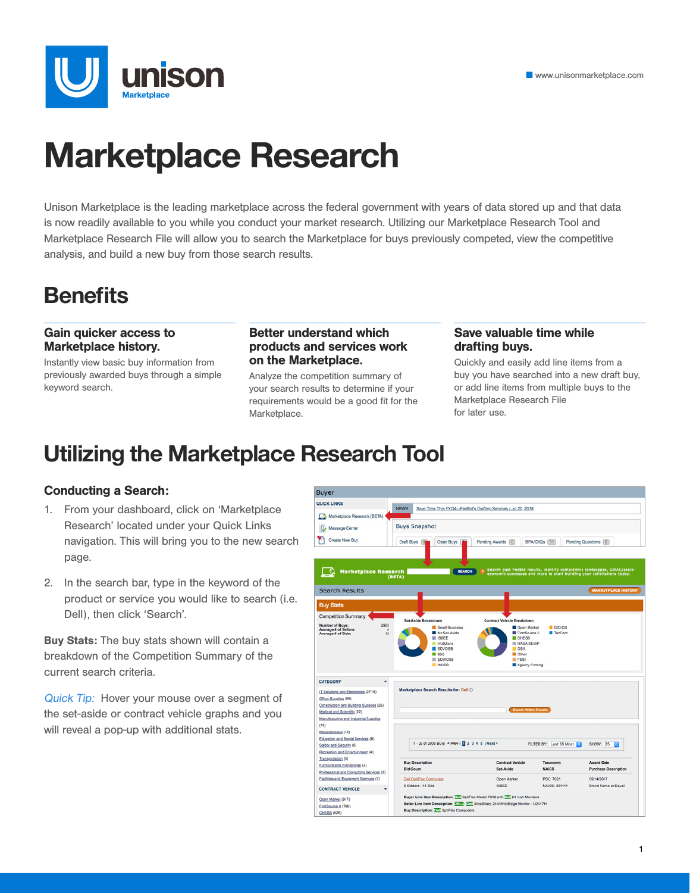

# **Marketplace Research**

Unison Marketplace is the leading marketplace across the federal government with years of data stored up and that data is now readily available to you while you conduct your market research. Utilizing our Marketplace Research Tool and Marketplace Research File will allow you to search the Marketplace for buys previously competed, view the competitive analysis, and build a new buy from those search results.

### **Benefits**

#### Gain quicker access to Marketplace history.

Instantly view basic buy information from previously awarded buys through a simple keyword search.

#### Better understand which products and services work on the Marketplace.

Analyze the competition summary of your search results to determine if your requirements would be a good fit for the Marketplace.

#### Save valuable time while drafting buys.

Quickly and easily add line items from a buy you have searched into a new draft buy, or add line items from multiple buys to the Marketplace Research File for later use.

### **Utilizing the Marketplace Research Tool**

#### Conducting a Search:

- 1. From your dashboard, click on 'Marketplace Research' located under your Quick Links navigation. This will bring you to the new search page.
- 2. In the search bar, type in the keyword of the product or service you would like to search (i.e. Dell), then click 'Search'.

Buy Stats: The buy stats shown will contain a breakdown of the Competition Summary of the current search criteria.

Quick Tip: Hover your mouse over a segment of the set-aside or contract vehicle graphs and you will reveal a pop-up with additional stats.

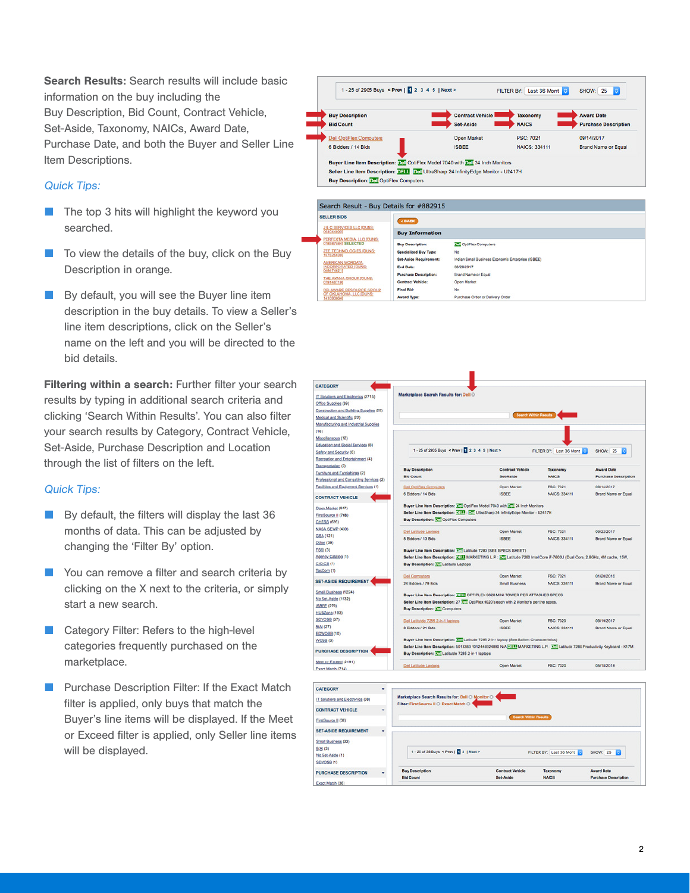Search Results: Search results will include basic information on the buy including the Buy Description, Bid Count, Contract Vehicle, Set-Aside, Taxonomy, NAICs, Award Date, Purchase Date, and both the Buyer and Seller Line Item Descriptions.

#### Quick Tips:

- The top 3 hits will highlight the keyword you searched.
- To view the details of the buy, click on the Buy Description in orange.
- By default, you will see the Buyer line item description in the buy details. To view a Seller's line item descriptions, click on the Seller's name on the left and you will be directed to the bid details.

Filtering within a search: Further filter your search results by typing in additional search criteria and clicking 'Search Within Results'. You can also filter your search results by Category, Contract Vehicle, Set-Aside, Purchase Description and Location through the list of filters on the left.

#### Quick Tips:

- By default, the filters will display the last 36 months of data. This can be adjusted by changing the 'Filter By' option.
- You can remove a filter and search criteria by clicking on the X next to the criteria, or simply start a new search.
- Category Filter: Refers to the high-level categories frequently purchased on the marketplace.
- Purchase Description Filter: If the Exact Match filter is applied, only buys that match the Buyer's line items will be displayed. If the Meet or Exceed filter is applied, only Seller line items will be displayed.



08/28/2017 **Brand Name or Equal** 

Open Market

No

Purc

Indian Small Business Economic Enterprise (ISBEE)

Set-Aside Requirement:

**Purchase Description** 

**Contract Vehicle** 

**End Date:** 

Final Bid:

Award Type

ERICAN WORDATA,<br>ORPORATED (DUNS)<br>474621)

THE AKANA GROUP (DUNS)

| <b>CATEGORY</b>                          |                                                                                                                                                                                   |                                                                                          |                                     |                             |  |  |  |  |
|------------------------------------------|-----------------------------------------------------------------------------------------------------------------------------------------------------------------------------------|------------------------------------------------------------------------------------------|-------------------------------------|-----------------------------|--|--|--|--|
| IT Solutions and Electronics (2715)      | Marketplace Search Results for: Dell O                                                                                                                                            |                                                                                          |                                     |                             |  |  |  |  |
| Office Supplies (89)                     |                                                                                                                                                                                   |                                                                                          |                                     |                             |  |  |  |  |
| Construction and Building Supplies (25)  |                                                                                                                                                                                   |                                                                                          |                                     |                             |  |  |  |  |
| Medical and Scientific (22)              |                                                                                                                                                                                   |                                                                                          | Search Within Results               |                             |  |  |  |  |
| Manufacturing and Industrial Supplies    |                                                                                                                                                                                   |                                                                                          |                                     |                             |  |  |  |  |
| (16)                                     |                                                                                                                                                                                   |                                                                                          |                                     |                             |  |  |  |  |
| Miscellaneous (12)                       |                                                                                                                                                                                   |                                                                                          |                                     |                             |  |  |  |  |
| Education and Social Services (8)        |                                                                                                                                                                                   |                                                                                          |                                     |                             |  |  |  |  |
| Safety and Security (6)                  | 1 - 25 of 2905 Buys < Prev   2 3 4 5   Next >                                                                                                                                     |                                                                                          | FILTER BY: Last 36 Mont<br>SHOW: 25 |                             |  |  |  |  |
| Recreation and Entertainment (4)         |                                                                                                                                                                                   |                                                                                          |                                     |                             |  |  |  |  |
| Transportation (3)                       | <b>Buy Description</b>                                                                                                                                                            | <b>Contract Vehicle</b>                                                                  |                                     | <b>Award Date</b>           |  |  |  |  |
| Furniture and Furnishings (2)            | <b>Bid Count</b>                                                                                                                                                                  | Set-Aside                                                                                | Taxonomy<br><b>NAICS</b>            | <b>Purchase Description</b> |  |  |  |  |
| Professional and Consulting Services (2) |                                                                                                                                                                                   |                                                                                          |                                     |                             |  |  |  |  |
| Facilities and Equipment Services (1)    | <b>Dell OptiFlex Computers</b>                                                                                                                                                    | Open Market                                                                              | PSC: 7021                           | 09/14/2017                  |  |  |  |  |
| <b>CONTRACT VEHICLE</b>                  | 6 Bidders / 14 Bids                                                                                                                                                               | <b>ISBEE</b>                                                                             | <b>NAICS: 334111</b>                | Brand Name or Equal         |  |  |  |  |
| Open Market (917)                        | Buyer Line Item Description: 352 OptiFlex Model 7040 with 372 24 Inch Monitors                                                                                                    |                                                                                          |                                     |                             |  |  |  |  |
| FirstSource II (766)                     |                                                                                                                                                                                   | Seller Line Item Description: DELL : D. UltraSharp 24 InfinityEdge Monitor - U2417H      |                                     |                             |  |  |  |  |
| CHESS (626)                              | <b>Buy Description: 3. CotiFlex Computers</b>                                                                                                                                     |                                                                                          |                                     |                             |  |  |  |  |
| NASA SEWP (430)                          |                                                                                                                                                                                   |                                                                                          |                                     |                             |  |  |  |  |
| GSA (121)                                | Dell Latitude Laptops                                                                                                                                                             | Open Market                                                                              | PSC: 7021                           | 09/22/2017                  |  |  |  |  |
| Other (39)                               | 5 Bidders / 13 Bids                                                                                                                                                               | <b>ISBEE</b>                                                                             | NAICS: 334111                       | <b>Brand Name or Equal</b>  |  |  |  |  |
| FSSI (3)                                 |                                                                                                                                                                                   | Buyer Line Item Description: En Latitude 7280 (SEE SPECS SHEET)                          |                                     |                             |  |  |  |  |
| Agency Catalog (1)                       | Seller Line Item Description: H1H MARKETING L.P.: 2.1 Latitude 7280 Intel Core i7-7600U (Dual Core, 2.8GHz, 4M cache, 15W,                                                        |                                                                                          |                                     |                             |  |  |  |  |
| $CIO-CS(1)$                              | Buy Description: 321 Latitude Laptops                                                                                                                                             |                                                                                          |                                     |                             |  |  |  |  |
| TacCom (1)                               |                                                                                                                                                                                   |                                                                                          |                                     |                             |  |  |  |  |
| <b>SET-ASIDE REQUIREMENT</b>             | <b>Dell Computers</b>                                                                                                                                                             | Open Market                                                                              | PSC: 7021                           | 01/20/2016                  |  |  |  |  |
|                                          | 24 Bidders / 79 Bids                                                                                                                                                              | <b>Small Business</b>                                                                    | <b>NAICS: 334111</b>                | <b>Brand Name or Equal</b>  |  |  |  |  |
| Small Business (1224)                    |                                                                                                                                                                                   |                                                                                          |                                     |                             |  |  |  |  |
| No Set-Aside (1132)                      | Buyer Line Item Description: 3311 OPTIPLEX 9020 MINI TOWER PER ATTACHED SPECS                                                                                                     |                                                                                          |                                     |                             |  |  |  |  |
| ISBEE (279)                              | <b>Buy Description: 37 Computers</b>                                                                                                                                              | Seller Line Item Description: 27 3. OptiPlex 9020's each with 2 Monitor's per the specs. |                                     |                             |  |  |  |  |
| <b>HUBZone (193)</b>                     |                                                                                                                                                                                   |                                                                                          |                                     |                             |  |  |  |  |
| SDVOSB (37)                              | Dell Latituide 7265 2-in-1 laptoos                                                                                                                                                | Open Market                                                                              | PSC: 7020                           | 09/19/2017                  |  |  |  |  |
| 8(A)(27)                                 | 8 Bidders / 21 Bids                                                                                                                                                               | <b>ISBEE</b>                                                                             | <b>NAICS: 334111</b>                | <b>Brand Name or Equal</b>  |  |  |  |  |
| EDWOSB (10)                              |                                                                                                                                                                                   |                                                                                          |                                     |                             |  |  |  |  |
| WOSB <sub>(3)</sub>                      |                                                                                                                                                                                   | Buyer Line Item Description: De Latitude 7285 2-in1 laptop (See Salient Characteristics) |                                     |                             |  |  |  |  |
| <b>PURCHASE DESCRIPTION</b>              | Seller Line Item Description: 5013383 1012448924890 N/A FETT MARKETING L.P.: THE Latitude 7285 Productivity Keyboard - K17M<br>Buy Description: 3.7 Latitutde 7285 2-in-1 laptoos |                                                                                          |                                     |                             |  |  |  |  |
| Meet or Exceed (2191)                    |                                                                                                                                                                                   |                                                                                          |                                     |                             |  |  |  |  |
| Exact Match (714)                        | <b>Dell Latitude Laptops</b>                                                                                                                                                      | Open Market                                                                              | <b>PSC: 7020</b>                    | 05/18/2018                  |  |  |  |  |

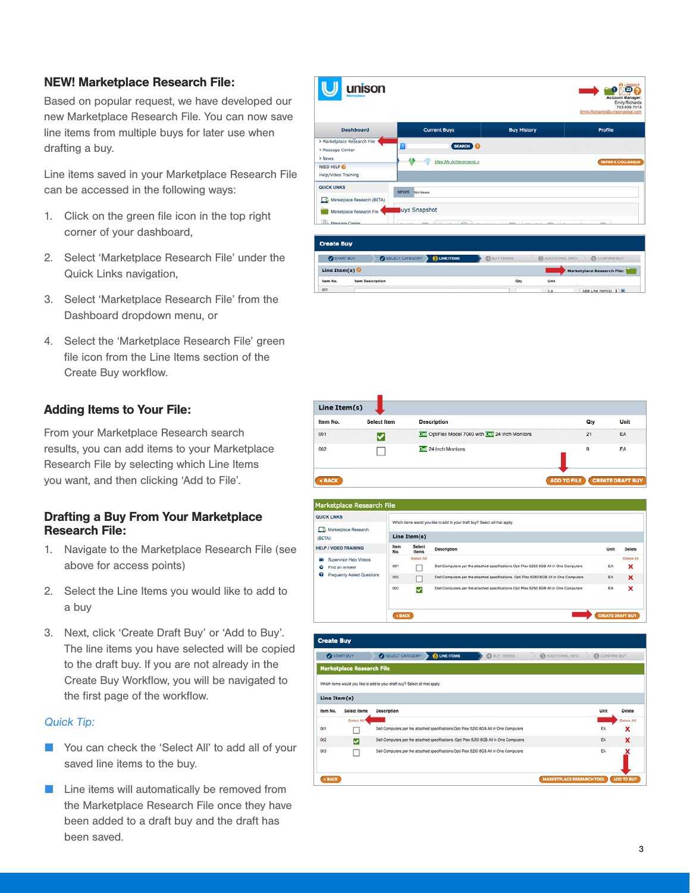#### NEW! Marketplace Research File:

Based on popular request, we have developed our new Marketplace Research File. You can now save line items from multiple buys for later use when drafting a buy.

Line items saved in your Marketplace Research File can be accessed in the following ways:

- 1. Click on the green file icon in the top right corner of your dashboard,
- 2. Select 'Marketplace Research File' under the Quick Links navigation,
- 3. Select 'Marketplace Research File' from the Dashboard dropdown menu, or
- 4. Select the 'Marketplace Research File' green file icon from the Line Items section of the Create Buy workflow.

#### Adding Items to Your File:

From your Marketplace Research search results, you can add items to your Marketplace Research File by selecting which Line Items you want, and then clicking 'Add to File'.

#### Drafting a Buy From Your Marketplace Research File:

- 1. Navigate to the Marketplace Research File (see above for access points)
- 2. Select the Line Items you would like to add to a buy
- 3. Next, click 'Create Draft Buy' or 'Add to Buy'. The line items you have selected will be copied to the draft buy. If you are not already in the Create Buy Workflow, you will be navigated to the first page of the workflow.

#### Quick Tip:

- You can check the 'Select All' to add all of your saved line items to the buy.
- Line items will automatically be removed from the Marketplace Research File once they have been added to a draft buy and the draft has been saved.







| <b>Create Buy</b> |                                  |                                                                                         |                                  |                    |                   |
|-------------------|----------------------------------|-----------------------------------------------------------------------------------------|----------------------------------|--------------------|-------------------|
| <b>START BUY</b>  |                                  | SELECT CATEGORY BLINE ITEMS<br><b>CO</b> BUY TERMS                                      | <b>C</b> ADDITIONAL INFO         | <b>CONFIRM BUY</b> |                   |
|                   | <b>Marketplace Research File</b> |                                                                                         |                                  |                    |                   |
|                   |                                  | Which items would you like to add to your draft buy? Select all that apply.             |                                  |                    |                   |
| Line Item(s)      |                                  |                                                                                         |                                  |                    |                   |
| Item No.          | <b>Select Items</b>              | <b>Description</b>                                                                      |                                  | Unit               | <b>Delete</b>     |
|                   | <b>Solect All</b>                |                                                                                         |                                  |                    | Delete All        |
| 001               |                                  | Dell Computers per the attached specifications. Opti Piex 5250 8GB All in One Computers |                                  | EA                 | x                 |
| 002               | v                                | Dell Computers per the attached specifications. Opti Plex 5250 8GB All in One Computers |                                  | EA                 | x                 |
| 003               |                                  | Dell Computers per the attached specifications. Opti Plex 5250 8GB All in One Computers |                                  | EA                 | ×                 |
|                   |                                  |                                                                                         | <b>MARKETPLACE RESEARCH TOOL</b> |                    | <b>ADD TO BUY</b> |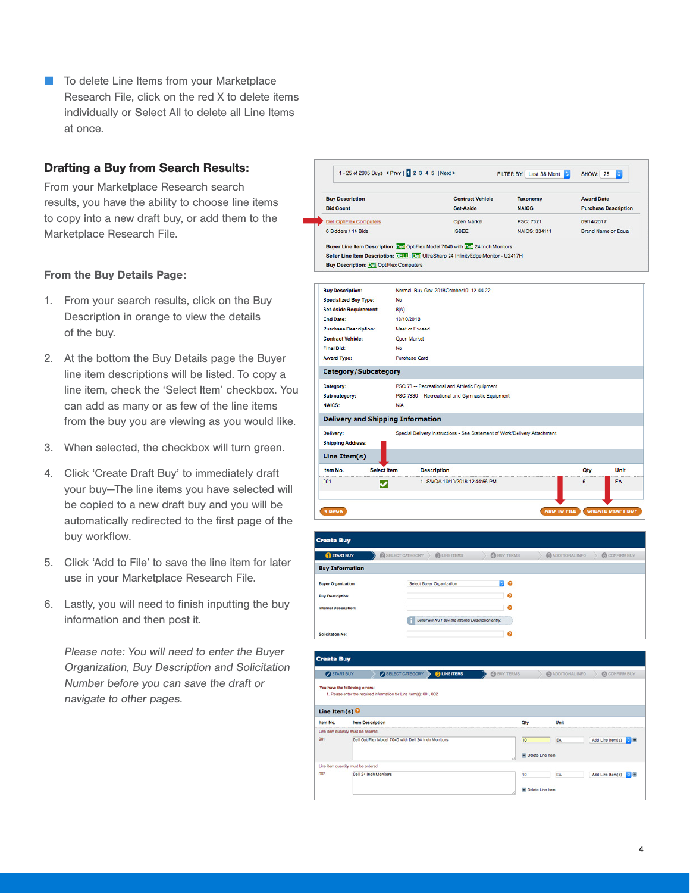■ To delete Line Items from your Marketplace Research File, click on the red X to delete items individually or Select All to delete all Line Items at once.

#### Drafting a Buy from Search Results:

From your Marketplace Research search results, you have the ability to choose line items to copy into a new draft buy, or add them to the Marketplace Research File.

#### From the Buy Details Page:

- 1. From your search results, click on the Buy Description in orange to view the details of the buy.
- 2. At the bottom the Buy Details page the Buyer line item descriptions will be listed. To copy a line item, check the 'Select Item' checkbox. You can add as many or as few of the line items from the buy you are viewing as you would like.
- 3. When selected, the checkbox will turn green.
- 4. Click 'Create Draft Buy' to immediately draft your buy—The line items you have selected will be copied to a new draft buy and you will be automatically redirected to the first page of the buy workflow.
- 5. Click 'Add to File' to save the line item for later use in your Marketplace Research File.
- 6. Lastly, you will need to finish inputting the buy information and then post it.

Please note: You will need to enter the Buyer Organization, Buy Description and Solicitation Number before you can save the draft or navigate to other pages.